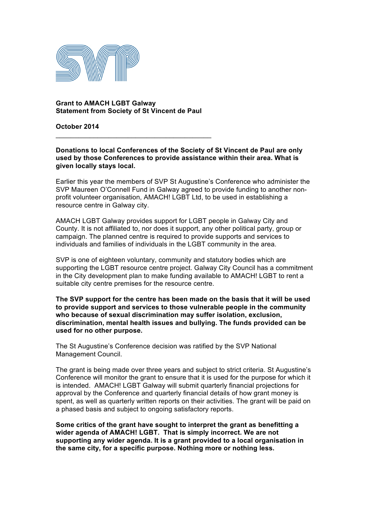

**Grant to AMACH LGBT Galway Statement from Society of St Vincent de Paul**

 $\mathcal{L}_\mathcal{L}$  , which is a set of the set of the set of the set of the set of the set of the set of the set of the set of the set of the set of the set of the set of the set of the set of the set of the set of the set of

**October 2014**

**Donations to local Conferences of the Society of St Vincent de Paul are only used by those Conferences to provide assistance within their area. What is given locally stays local.**

Earlier this year the members of SVP St Augustine's Conference who administer the SVP Maureen O'Connell Fund in Galway agreed to provide funding to another nonprofit volunteer organisation, AMACH! LGBT Ltd, to be used in establishing a resource centre in Galway city.

AMACH LGBT Galway provides support for LGBT people in Galway City and County. It is not affiliated to, nor does it support, any other political party, group or campaign. The planned centre is required to provide supports and services to individuals and families of individuals in the LGBT community in the area.

SVP is one of eighteen voluntary, community and statutory bodies which are supporting the LGBT resource centre project. Galway City Council has a commitment in the City development plan to make funding available to AMACH! LGBT to rent a suitable city centre premises for the resource centre.

**The SVP support for the centre has been made on the basis that it will be used to provide support and services to those vulnerable people in the community who because of sexual discrimination may suffer isolation, exclusion, discrimination, mental health issues and bullying. The funds provided can be used for no other purpose.**

The St Augustine's Conference decision was ratified by the SVP National Management Council.

The grant is being made over three years and subject to strict criteria. St Augustine's Conference will monitor the grant to ensure that it is used for the purpose for which it is intended. AMACH! LGBT Galway will submit quarterly financial projections for approval by the Conference and quarterly financial details of how grant money is spent, as well as quarterly written reports on their activities. The grant will be paid on a phased basis and subject to ongoing satisfactory reports.

**Some critics of the grant have sought to interpret the grant as benefitting a wider agenda of AMACH! LGBT. That is simply incorrect. We are not supporting any wider agenda. It is a grant provided to a local organisation in the same city, for a specific purpose. Nothing more or nothing less.**